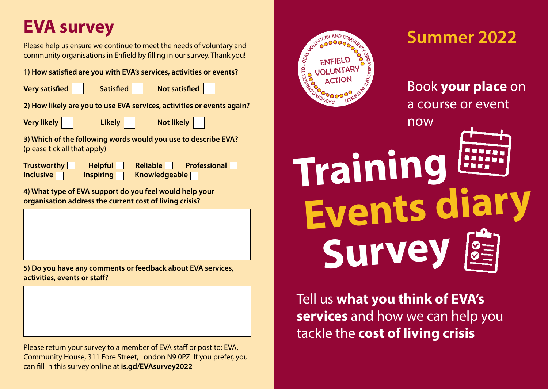## **EVA survey**

Please help us ensure we continue to meet the needs of voluntary and<br>Please help us ensure we continue to meet the needs of voluntary and community organisations in Enfield by filling in our survey. Thank you!

**1) How satisfied are you with EVA's services, activities or events?** 

|  | <b>Very satisfied</b> |
|--|-----------------------|
|--|-----------------------|

**Very Satisfied Satisfied Satisfied** 

**2) How likely are you to use EVA services, activities or events again?** 

| <b>Very likely</b> |  |  |
|--------------------|--|--|
|--------------------|--|--|

**Very likely Likely Not likely** 

**3) Which of the following words would you use to describe EVA?**  (please tick all that apply)

**Trustworthy Helpful Reliable** Professional **Inclusive** Inspiring Rimowledgeable Rim

**4) What type of EVA support do you feel would help your organisation address the current cost of living crisis?** 

**5) Do you have any comments or feedback about EVA services, activities, events or staff?**

Please return your survey to a member of EVA staff or post to: EVA, Community House, 311 Fore Street, London N9 0PZ. If you prefer, you can fill in this survey online at **is.gd/EVAsurvey2022**



## Book **your place** on a course or event

**Events diary Training Survey**

now

Tell us **what you think of EVA's services** and how we can help you tackle the **cost of living crisis**